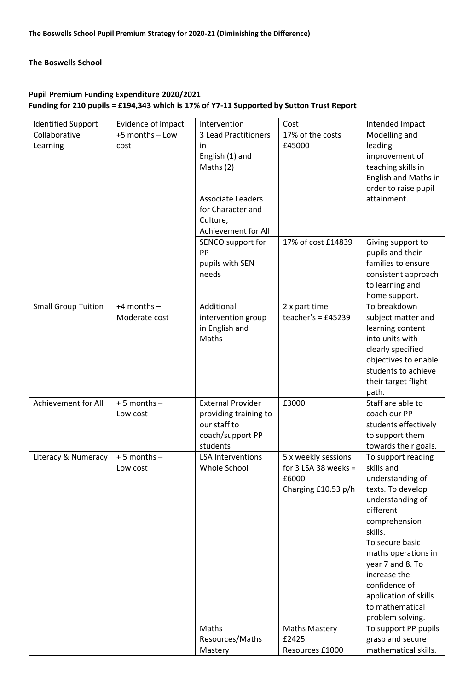### **The Boswells School**

# **Pupil Premium Funding Expenditure 2020/2021 Funding for 210 pupils = £194,343 which is 17% of Y7-11 Supported by Sutton Trust Report**

| <b>Identified Support</b>  | Evidence of Impact | Intervention                          | Cost                 | Intended Impact            |
|----------------------------|--------------------|---------------------------------------|----------------------|----------------------------|
| Collaborative              | +5 months - Low    | 3 Lead Practitioners                  | 17% of the costs     |                            |
| Learning                   | cost               | <i>in</i>                             | £45000               | leading                    |
|                            |                    | English (1) and                       |                      | improvement of             |
|                            |                    | Maths $(2)$                           |                      | teaching skills in         |
|                            |                    |                                       |                      | English and Maths in       |
|                            |                    |                                       |                      | order to raise pupil       |
|                            |                    | <b>Associate Leaders</b>              |                      | attainment.                |
|                            |                    | for Character and                     |                      |                            |
|                            |                    | Culture,                              |                      |                            |
|                            |                    | Achievement for All                   |                      |                            |
|                            |                    | SENCO support for                     | 17% of cost £14839   | Giving support to          |
|                            |                    | PP                                    |                      | pupils and their           |
|                            |                    | pupils with SEN                       |                      | families to ensure         |
|                            |                    | needs                                 |                      | consistent approach        |
|                            |                    |                                       |                      | to learning and            |
|                            |                    |                                       |                      | home support.              |
| <b>Small Group Tuition</b> | $+4$ months $-$    | Additional                            | 2 x part time        | To breakdown               |
|                            | Moderate cost      | intervention group                    | teacher's = $£45239$ | subject matter and         |
|                            |                    | in English and                        |                      | learning content           |
|                            |                    | Maths                                 |                      | into units with            |
|                            |                    |                                       |                      | clearly specified          |
|                            |                    |                                       |                      | objectives to enable       |
|                            |                    |                                       |                      | students to achieve        |
|                            |                    |                                       |                      | their target flight        |
|                            |                    |                                       |                      | path.<br>Staff are able to |
| Achievement for All        | $+5$ months $-$    | <b>External Provider</b>              | £3000                | coach our PP               |
|                            | Low cost           | providing training to<br>our staff to |                      | students effectively       |
|                            |                    | coach/support PP                      |                      | to support them            |
|                            |                    | students                              |                      | towards their goals.       |
| Literacy & Numeracy        | $+5$ months $-$    | <b>LSA Interventions</b>              | 5 x weekly sessions  | To support reading         |
|                            | Low cost           | Whole School                          | for 3 LSA 38 weeks = | skills and                 |
|                            |                    |                                       | £6000                | understanding of           |
|                            |                    |                                       | Charging £10.53 p/h  | texts. To develop          |
|                            |                    |                                       |                      | understanding of           |
|                            |                    |                                       |                      | different                  |
|                            |                    |                                       |                      | comprehension              |
|                            |                    |                                       |                      | skills.                    |
|                            |                    |                                       |                      | To secure basic            |
|                            |                    |                                       |                      | maths operations in        |
|                            |                    |                                       |                      | year 7 and 8. To           |
|                            |                    |                                       |                      | increase the               |
|                            |                    |                                       |                      | confidence of              |
|                            |                    |                                       |                      | application of skills      |
|                            |                    |                                       |                      | to mathematical            |
|                            |                    |                                       |                      | problem solving.           |
|                            |                    | Maths                                 | <b>Maths Mastery</b> | To support PP pupils       |
|                            |                    | Resources/Maths                       | £2425                | grasp and secure           |
|                            |                    | Mastery                               | Resources £1000      | mathematical skills.       |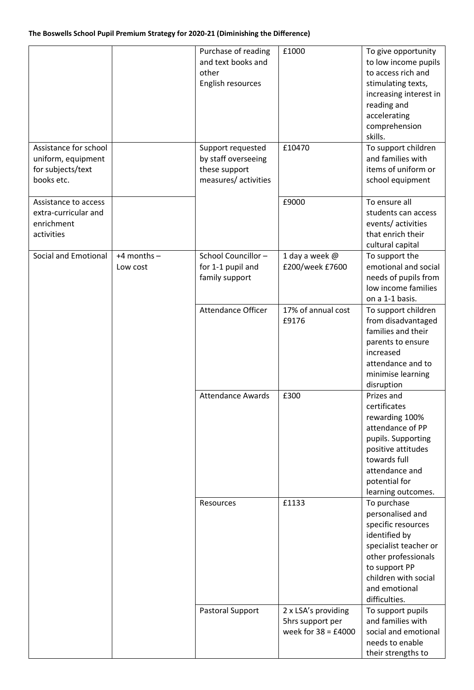|                       |                 | Purchase of reading       | £1000                 | To give opportunity    |
|-----------------------|-----------------|---------------------------|-----------------------|------------------------|
|                       |                 | and text books and        |                       | to low income pupils   |
|                       |                 | other                     |                       | to access rich and     |
|                       |                 | English resources         |                       | stimulating texts,     |
|                       |                 |                           |                       | increasing interest in |
|                       |                 |                           |                       | reading and            |
|                       |                 |                           |                       |                        |
|                       |                 |                           |                       | accelerating           |
|                       |                 |                           |                       | comprehension          |
|                       |                 |                           |                       | skills.                |
| Assistance for school |                 | Support requested         | £10470                | To support children    |
| uniform, equipment    |                 | by staff overseeing       |                       | and families with      |
| for subjects/text     |                 | these support             |                       | items of uniform or    |
| books etc.            |                 | measures/ activities      |                       | school equipment       |
|                       |                 |                           |                       |                        |
| Assistance to access  |                 |                           | £9000                 | To ensure all          |
| extra-curricular and  |                 |                           |                       | students can access    |
| enrichment            |                 |                           |                       | events/activities      |
| activities            |                 |                           |                       | that enrich their      |
|                       |                 |                           |                       | cultural capital       |
| Social and Emotional  | $+4$ months $-$ | School Councillor-        | 1 day a week @        | To support the         |
|                       | Low cost        | for 1-1 pupil and         | £200/week £7600       | emotional and social   |
|                       |                 | family support            |                       | needs of pupils from   |
|                       |                 |                           |                       | low income families    |
|                       |                 |                           |                       |                        |
|                       |                 |                           |                       | on a 1-1 basis.        |
|                       |                 | <b>Attendance Officer</b> | 17% of annual cost    | To support children    |
|                       |                 |                           | £9176                 | from disadvantaged     |
|                       |                 |                           |                       | families and their     |
|                       |                 |                           |                       | parents to ensure      |
|                       |                 |                           |                       | increased              |
|                       |                 |                           |                       | attendance and to      |
|                       |                 |                           |                       | minimise learning      |
|                       |                 |                           |                       | disruption             |
|                       |                 | <b>Attendance Awards</b>  | £300                  | Prizes and             |
|                       |                 |                           |                       | certificates           |
|                       |                 |                           |                       | rewarding 100%         |
|                       |                 |                           |                       | attendance of PP       |
|                       |                 |                           |                       | pupils. Supporting     |
|                       |                 |                           |                       |                        |
|                       |                 |                           |                       | positive attitudes     |
|                       |                 |                           |                       | towards full           |
|                       |                 |                           |                       | attendance and         |
|                       |                 |                           |                       | potential for          |
|                       |                 |                           |                       | learning outcomes.     |
|                       |                 | Resources                 | £1133                 | To purchase            |
|                       |                 |                           |                       | personalised and       |
|                       |                 |                           |                       | specific resources     |
|                       |                 |                           |                       | identified by          |
|                       |                 |                           |                       | specialist teacher or  |
|                       |                 |                           |                       | other professionals    |
|                       |                 |                           |                       | to support PP          |
|                       |                 |                           |                       | children with social   |
|                       |                 |                           |                       | and emotional          |
|                       |                 |                           |                       | difficulties.          |
|                       |                 | Pastoral Support          | 2 x LSA's providing   | To support pupils      |
|                       |                 |                           | 5hrs support per      | and families with      |
|                       |                 |                           | week for $38 = £4000$ | social and emotional   |
|                       |                 |                           |                       |                        |
|                       |                 |                           |                       | needs to enable        |
|                       |                 |                           |                       | their strengths to     |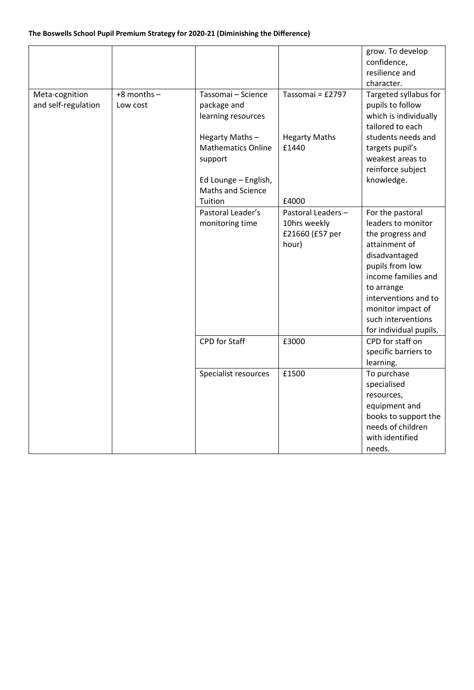## **The Boswells School Pupil Premium Strategy for 2020-21 (Diminishing the Difference)**

|                     |                 |                           |                      | grow. To develop       |
|---------------------|-----------------|---------------------------|----------------------|------------------------|
|                     |                 |                           |                      | confidence,            |
|                     |                 |                           |                      | resilience and         |
|                     |                 |                           |                      | character.             |
| Meta-cognition      | $+8$ months $-$ | Tassomai - Science        | Tassomai = £2797     | Targeted syllabus for  |
| and self-regulation | Low cost        | package and               |                      | pupils to follow       |
|                     |                 | learning resources        |                      | which is individually  |
|                     |                 |                           |                      | tailored to each       |
|                     |                 | Hegarty Maths-            | <b>Hegarty Maths</b> | students needs and     |
|                     |                 | <b>Mathematics Online</b> | £1440                | targets pupil's        |
|                     |                 | support                   |                      | weakest areas to       |
|                     |                 |                           |                      | reinforce subject      |
|                     |                 | Ed Lounge - English,      |                      | knowledge.             |
|                     |                 | Maths and Science         |                      |                        |
|                     |                 | Tuition                   | £4000                |                        |
|                     |                 | Pastoral Leader's         | Pastoral Leaders -   | For the pastoral       |
|                     |                 | monitoring time           | 10hrs weekly         | leaders to monitor     |
|                     |                 |                           | £21660 (£57 per      | the progress and       |
|                     |                 |                           | hour)                | attainment of          |
|                     |                 |                           |                      | disadvantaged          |
|                     |                 |                           |                      | pupils from low        |
|                     |                 |                           |                      | income families and    |
|                     |                 |                           |                      | to arrange             |
|                     |                 |                           |                      | interventions and to   |
|                     |                 |                           |                      | monitor impact of      |
|                     |                 |                           |                      | such interventions     |
|                     |                 |                           |                      | for individual pupils. |
|                     |                 | CPD for Staff             | £3000                | CPD for staff on       |
|                     |                 |                           |                      | specific barriers to   |
|                     |                 |                           |                      | learning.              |
|                     |                 | Specialist resources      | £1500                | To purchase            |
|                     |                 |                           |                      | specialised            |
|                     |                 |                           |                      | resources,             |
|                     |                 |                           |                      | equipment and          |
|                     |                 |                           |                      | books to support the   |
|                     |                 |                           |                      | needs of children      |
|                     |                 |                           |                      | with identified        |
|                     |                 |                           |                      | needs.                 |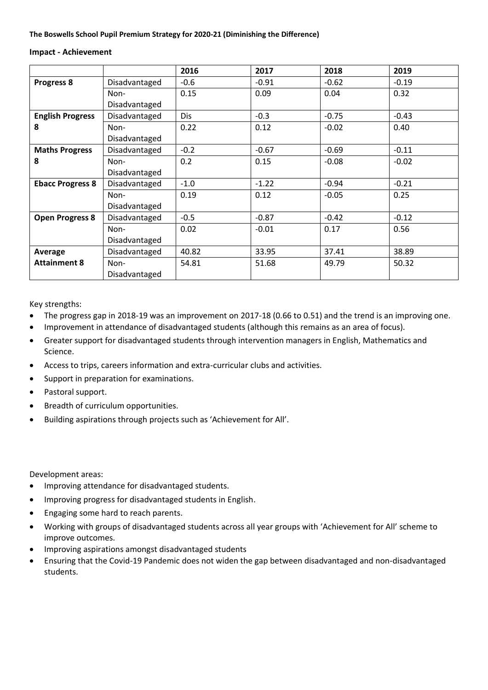#### **Impact - Achievement**

|                         |               | 2016   | 2017    | 2018    | 2019    |
|-------------------------|---------------|--------|---------|---------|---------|
| Progress 8              | Disadvantaged | $-0.6$ | $-0.91$ | $-0.62$ | $-0.19$ |
|                         | Non-          | 0.15   | 0.09    | 0.04    | 0.32    |
|                         | Disadvantaged |        |         |         |         |
| <b>English Progress</b> | Disadvantaged | Dis    | $-0.3$  | $-0.75$ | $-0.43$ |
| 8                       | Non-          | 0.22   | 0.12    | $-0.02$ | 0.40    |
|                         | Disadvantaged |        |         |         |         |
| <b>Maths Progress</b>   | Disadvantaged | $-0.2$ | $-0.67$ | $-0.69$ | $-0.11$ |
| 8                       | Non-          | 0.2    | 0.15    | $-0.08$ | $-0.02$ |
|                         | Disadvantaged |        |         |         |         |
| <b>Ebacc Progress 8</b> | Disadvantaged | $-1.0$ | $-1.22$ | $-0.94$ | $-0.21$ |
|                         | Non-          | 0.19   | 0.12    | $-0.05$ | 0.25    |
|                         | Disadvantaged |        |         |         |         |
| <b>Open Progress 8</b>  | Disadvantaged | $-0.5$ | $-0.87$ | $-0.42$ | $-0.12$ |
|                         | Non-          | 0.02   | $-0.01$ | 0.17    | 0.56    |
|                         | Disadvantaged |        |         |         |         |
| Average                 | Disadvantaged | 40.82  | 33.95   | 37.41   | 38.89   |
| <b>Attainment 8</b>     | Non-          | 54.81  | 51.68   | 49.79   | 50.32   |
|                         | Disadvantaged |        |         |         |         |

Key strengths:

- The progress gap in 2018-19 was an improvement on 2017-18 (0.66 to 0.51) and the trend is an improving one.
- Improvement in attendance of disadvantaged students (although this remains as an area of focus).
- Greater support for disadvantaged students through intervention managers in English, Mathematics and Science.
- Access to trips, careers information and extra-curricular clubs and activities.
- Support in preparation for examinations.
- Pastoral support.
- Breadth of curriculum opportunities.
- Building aspirations through projects such as 'Achievement for All'.

Development areas:

- Improving attendance for disadvantaged students.
- Improving progress for disadvantaged students in English.
- Engaging some hard to reach parents.
- Working with groups of disadvantaged students across all year groups with 'Achievement for All' scheme to improve outcomes.
- Improving aspirations amongst disadvantaged students
- Ensuring that the Covid-19 Pandemic does not widen the gap between disadvantaged and non-disadvantaged students.